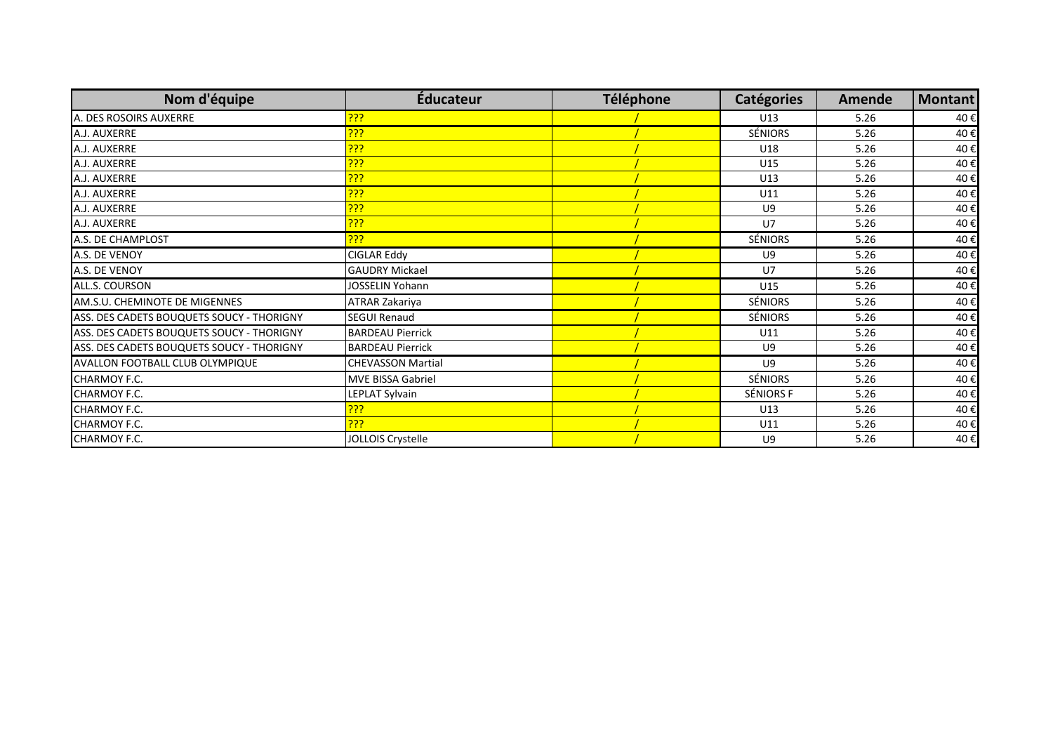| Nom d'équipe                              | <b>Éducateur</b>         | Téléphone | <b>Catégories</b> | <b>Amende</b> | <b>Montant</b> |
|-------------------------------------------|--------------------------|-----------|-------------------|---------------|----------------|
| A. DES ROSOIRS AUXERRE                    | <mark>???</mark>         |           | U13               | 5.26          | 40€            |
| A.J. AUXERRE                              | <u>יָיָי</u>             |           | <b>SÉNIORS</b>    | 5.26          | 40€            |
| A.J. AUXERRE                              | <mark>???</mark>         |           | U18               | 5.26          | 40€            |
| A.J. AUXERRE                              | <mark>???</mark>         |           | U15               | 5.26          | 40€            |
| A.J. AUXERRE                              | <u>???</u>               |           | U13               | 5.26          | 40€            |
| A.J. AUXERRE                              | <u>???</u>               |           | U11               | 5.26          | 40€            |
| A.J. AUXERRE                              | <u>???</u>               |           | U9                | 5.26          | 40€            |
| A.J. AUXERRE                              | <u>???</u>               |           | U7                | 5.26          | 40€            |
| A.S. DE CHAMPLOST                         | <u>???</u>               |           | <b>SÉNIORS</b>    | 5.26          | 40€            |
| A.S. DE VENOY                             | CIGLAR Eddy              |           | U9                | 5.26          | 40€            |
| A.S. DE VENOY                             | <b>GAUDRY Mickael</b>    |           | U7                | 5.26          | 40€            |
| ALL.S. COURSON                            | JOSSELIN Yohann          |           | U15               | 5.26          | 40€            |
| AM.S.U. CHEMINOTE DE MIGENNES             | ATRAR Zakariya           |           | <b>SÉNIORS</b>    | 5.26          | 40€            |
| ASS. DES CADETS BOUQUETS SOUCY - THORIGNY | <b>SEGUI Renaud</b>      |           | <b>SÉNIORS</b>    | 5.26          | 40€            |
| ASS. DES CADETS BOUQUETS SOUCY - THORIGNY | <b>BARDEAU Pierrick</b>  |           | U11               | 5.26          | 40€            |
| ASS. DES CADETS BOUQUETS SOUCY - THORIGNY | <b>BARDEAU Pierrick</b>  |           | U9                | 5.26          | 40€            |
| AVALLON FOOTBALL CLUB OLYMPIQUE           | <b>CHEVASSON Martial</b> |           | U9                | 5.26          | 40€            |
| CHARMOY F.C.                              | <b>MVE BISSA Gabriel</b> |           | <b>SÉNIORS</b>    | 5.26          | 40€            |
| CHARMOY F.C.                              | LEPLAT Sylvain           |           | SÉNIORS F         | 5.26          | 40€            |
| CHARMOY F.C.                              | <u>???</u>               |           | U13               | 5.26          | 40€            |
| CHARMOY F.C.                              | <u> ???</u>              |           | U11               | 5.26          | 40€            |
| CHARMOY F.C.                              | JOLLOIS Crystelle        |           | U9                | 5.26          | 40€            |